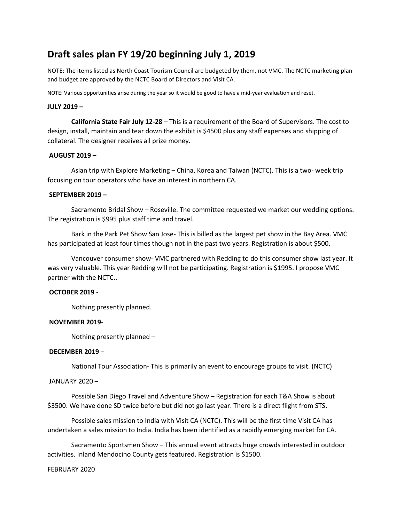# **Draft sales plan FY 19/20 beginning July 1, 2019**

NOTE: The items listed as North Coast Tourism Council are budgeted by them, not VMC. The NCTC marketing plan and budget are approved by the NCTC Board of Directors and Visit CA.

NOTE: Various opportunities arise during the year so it would be good to have a mid-year evaluation and reset.

### **JULY 2019 –**

**California State Fair July 12-28** – This is a requirement of the Board of Supervisors. The cost to design, install, maintain and tear down the exhibit is \$4500 plus any staff expenses and shipping of collateral. The designer receives all prize money.

## **AUGUST 2019 –**

Asian trip with Explore Marketing – China, Korea and Taiwan (NCTC). This is a two- week trip focusing on tour operators who have an interest in northern CA.

#### **SEPTEMBER 2019 –**

Sacramento Bridal Show – Roseville. The committee requested we market our wedding options. The registration is \$995 plus staff time and travel.

Bark in the Park Pet Show San Jose- This is billed as the largest pet show in the Bay Area. VMC has participated at least four times though not in the past two years. Registration is about \$500.

Vancouver consumer show- VMC partnered with Redding to do this consumer show last year. It was very valuable. This year Redding will not be participating. Registration is \$1995. I propose VMC partner with the NCTC..

## **OCTOBER 2019** -

Nothing presently planned.

#### **NOVEMBER 2019**-

Nothing presently planned –

#### **DECEMBER 2019** –

National Tour Association- This is primarily an event to encourage groups to visit. (NCTC)

#### JANUARY 2020 –

Possible San Diego Travel and Adventure Show – Registration for each T&A Show is about \$3500. We have done SD twice before but did not go last year. There is a direct flight from STS.

Possible sales mission to India with Visit CA (NCTC). This will be the first time Visit CA has undertaken a sales mission to India. India has been identified as a rapidly emerging market for CA.

Sacramento Sportsmen Show – This annual event attracts huge crowds interested in outdoor activities. Inland Mendocino County gets featured. Registration is \$1500.

#### FEBRUARY 2020